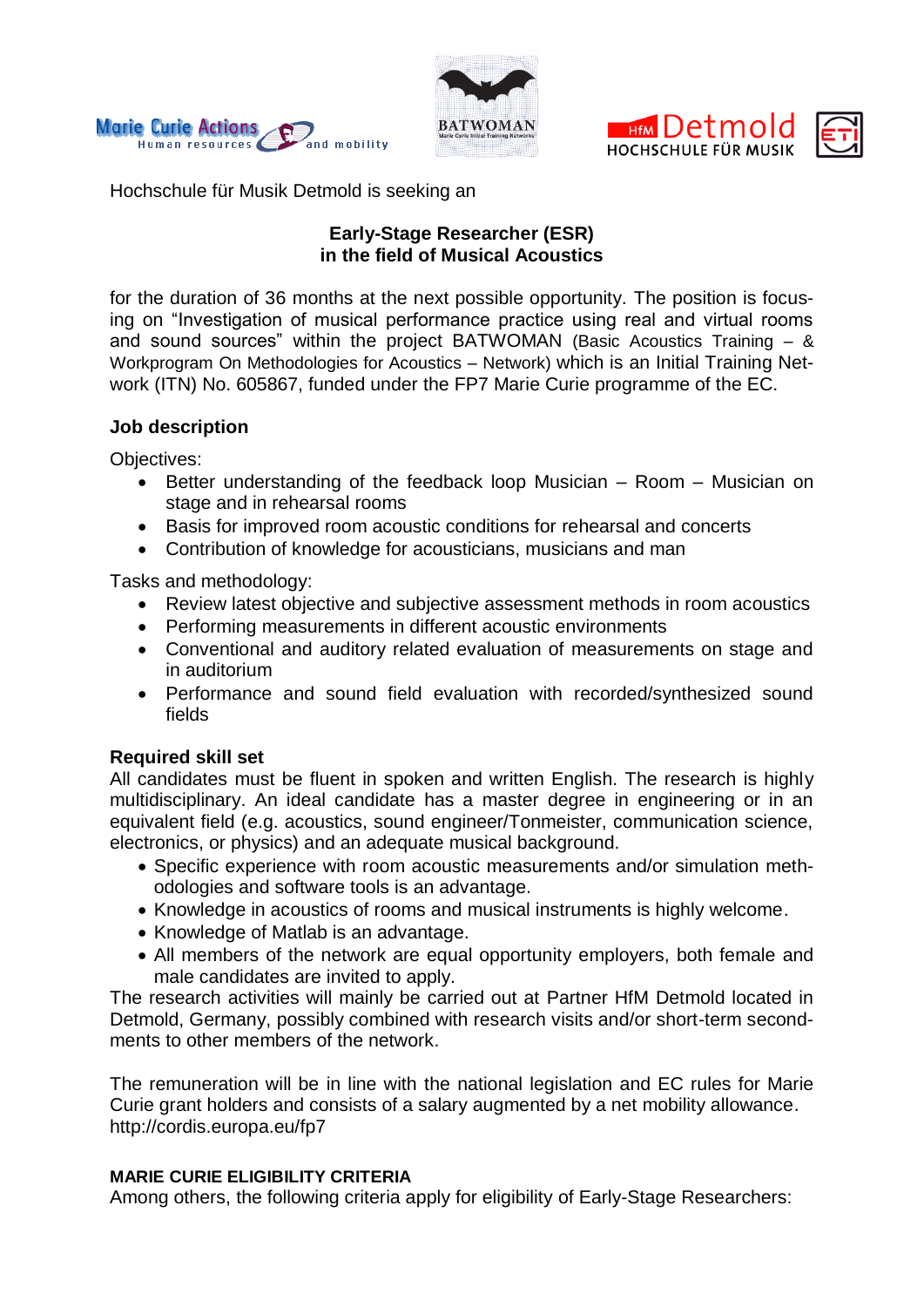





Hochschule für Musik Detmold is seeking an

# **Early-Stage Researcher (ESR) in the field of Musical Acoustics**

for the duration of 36 months at the next possible opportunity. The position is focusing on "Investigation of musical performance practice using real and virtual rooms and sound sources" within the project BATWOMAN (Basic Acoustics Training – & Workprogram On Methodologies for Acoustics – Network) which is an Initial Training Network (ITN) No. 605867, funded under the FP7 Marie Curie programme of the EC.

## **Job description**

Objectives:

- Better understanding of the feedback loop Musician Room Musician on stage and in rehearsal rooms
- Basis for improved room acoustic conditions for rehearsal and concerts
- Contribution of knowledge for acousticians, musicians and man

Tasks and methodology:

- Review latest objective and subjective assessment methods in room acoustics
- Performing measurements in different acoustic environments
- Conventional and auditory related evaluation of measurements on stage and in auditorium
- Performance and sound field evaluation with recorded/synthesized sound fields

# **Required skill set**

All candidates must be fluent in spoken and written English. The research is highly multidisciplinary. An ideal candidate has a master degree in engineering or in an equivalent field (e.g. acoustics, sound engineer/Tonmeister, communication science, electronics, or physics) and an adequate musical background.

- Specific experience with room acoustic measurements and/or simulation methodologies and software tools is an advantage.
- Knowledge in acoustics of rooms and musical instruments is highly welcome.
- Knowledge of Matlab is an advantage.
- All members of the network are equal opportunity employers, both female and male candidates are invited to apply.

The research activities will mainly be carried out at Partner HfM Detmold located in Detmold, Germany, possibly combined with research visits and/or short-term secondments to other members of the network.

The remuneration will be in line with the national legislation and EC rules for Marie Curie grant holders and consists of a salary augmented by a net mobility allowance. <http://cordis.europa.eu/fp7>

## **MARIE CURIE ELIGIBILITY CRITERIA**

Among others, the following criteria apply for eligibility of Early-Stage Researchers: